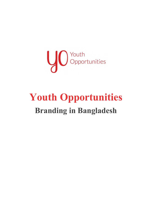

# **Youth Opportunities Branding in Bangladesh**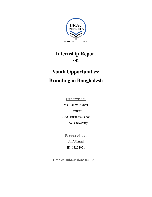

# **Internship Report on**

# **Youth Opportunities: Branding in Bangladesh**

**Supervisor:** 

Ms. Rahma Akhter Lecturer BRAC Business School BRAC University

> **Prepared by:**  Atif Ahmed ID: 13204051

Date of submission: 04.12.17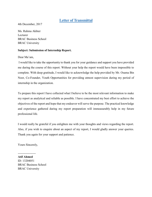#### **Letter of Transmittal**

4th December, 2017

Ms. Rahma Akhter Lecturer BRAC Business School BRAC University

#### **Subject: Submission of Internship Report.**

Dear Ma'am,

I would like to take the opportunity to thank you for your guidance and support you have provided me during the course of this report. Without your help the report would have been impossible to complete. With deep gratitude, I would like to acknowledge the help provided by Mr. Osama Bin Noor, Co-Founder, Youth Opportunities for providing utmost supervision during my period of internship in the organization.

To prepare this report I have collected what I believe to be the most relevant information to make my report as analytical and reliable as possible. I have concentrated my best effort to achieve the objectives of the report and hope that my endeavor will serve the purpose. The practical knowledge and experience gathered during my report preparation will immeasurably help in my future professional life.

I would really be grateful if you enlighten me with your thoughts and views regarding the report. Also, if you wish to enquire about an aspect of my report, I would gladly answer your queries. Thank you again for your support and patience.

Yours Sincerely,

------------------

**Atif Ahmed**  ID: 13204051 BRAC Business School BRAC University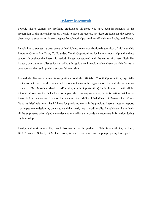#### **Acknowledgements**

I would like to express my profound gratitude to all those who have been instrumental in the preparation of this internship report. I wish to place on records, my deep gratitude for the support, direction, and supervision in every aspect from, Youth Opportunities officials, my faculty, and friends.

I would like to express my deep sense of thankfulness to my organizational supervisor of this Internship Program, Osama Bin Noor, Co-Founder, Youth Opportunities for his enormous help and endless support throughout the internship period. To get accustomed with the nature of a very dissimilar industry was quite a challenge for me; without his guidance, it would not have been possible for me to continue and then end up with a successful internship.

I would also like to show my utmost gratitude to all the officials of Youth Opportunities; especially the teams that I have worked in and all the others teams in the organization. I would like to mention the name of Mr. Makshud Manik (Co-Founder, Youth Opportunities) for facilitating me with all the internal information that helped me to prepare the company overview; the information that I as an intern had no access to. I cannot but mention Ms. Maliha Iqbal (Head of Partnerships, Youth Opportunities) with utter thankfulness for providing me with the previous internal research reports that helped me to design my own study and then analyzing it. Additionally, I would also like to thank all the employees who helped me to develop my skills and provide me necessary information during my internship.

Finally, and most importantly, I would like to concede the guidance of Ms. Rahma Akhter, Lecturer, BRAC Business School, BRAC University, for her expert advice and help in preparing this report.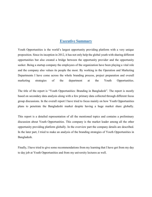#### **Executive Summary**

Youth Opportunities is the world's largest opportunity providing platform with a very unique proposition. Since its inception in 2012, it has not only help the global youth with sharing different opportunities but also created a bridge between the opportunity provider and the opportunity seeker. Being a startup company the employees of the organization have been playing a vital role and the company also values its people the most. By working in the Operation and Marketing Departments I have come across the whole branding process, project preparation and overall marketing strategies of the department at the Youth Opportunities.

The title of the report is "Youth Opportunities: Branding in Bangladesh". The report is mostly based on secondary data analysis along with a few primary data collected through different focus group discussions. In the overall report I have tried to focus mainly on how Youth Opportunities plans to penetrate the Bangladeshi market despite having a huge market share globally.

This report is a detailed representation of all the mentioned topics and contains a preliminary discussion about Youth Opportunities. This company is the market leader among all the other opportunity providing platform globally. In the overview part the company details are described. In the later part, I tried to make an analysis of the branding strategies of Youth Opportunities in Bangladesh.

Finally, I have tried to give some recommendations from my learning that I have got from my day to day job at Youth Opportunities and from my university lectures as well.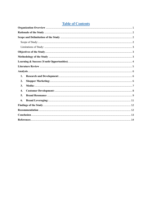# **Table of Contents**

| 1. |
|----|
| 2. |
| 3. |
| 4. |
| 5. |
| 6. |
|    |
|    |
|    |
|    |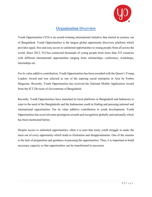

# **Organization Overview**

<span id="page-6-0"></span>Youth Opportunities (YO) is an award-winning international initiative that started its journey out of Bangladesh. Youth Opportunities is the largest global opportunity discovery platform which provides equal, free and easy access to unlimited opportunities to young people from all across the world. Since 2012, YO has connected thousands of young people from more than 232 countries with different international opportunities ranging from scholarships, conference, workshops, internships etc.

For its value additive contribution, Youth Opportunities has been awarded with the Queen's Young Leaders Award and was selected as one of the aspiring social enterprise in Asia by Forbes Magazine. Recently, Youth Opportunities has received the National Mobile Application Award from the ICT Division of Government of Bangladesh.

Recently, Youth Opportunities have launched its local platforms in Bangladesh and Indonesia to cater to the need of the Bangladeshi and the Indonesian youth in finding and pursuing national and international opportunities. For its value additive contribution to youth development, Youth Opportunities has received some prestigious awards and recognition globally and nationally which has been mentioned before.

Despite access to unlimited opportunities, often it is seen that many youth struggle to make the most out of every opportunity which leads to frustration and disappointments. One of the reasons is the lack of preparation and guidance in pursuing the opportunities. Thus, it is important to build necessary capacity so that opportunities can be transformed in successes.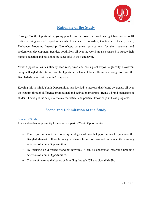

# **Rationale of the Study**

<span id="page-7-0"></span>Through Youth Opportunities, young people from all over the world can get free access to 10 different categories of opportunities which include: Scholarship, Conference, Award, Grant, Exchange Program, Internship, Workshop, volunteer service etc. for their personal and professional development. Besides, youth from all over the world are also assisted to pursue their higher education and passion to be successful in their endeavor.

Youth Opportunities has already been recognized and has a great exposure globally. However, being a Bangladeshi Startup Youth Opportunities has not been efficacious enough to reach the Bangladeshi youth with a satisfactory rate.

Keeping this in mind, Youth Opportunities has decided to increase their brand awareness all over the country through difference promotional and activation programs. Being a brand management student, I have got the scope to use my theoretical and practical knowledge in these programs.

# **Scope and Delimitation of the Study**

#### <span id="page-7-2"></span><span id="page-7-1"></span>Scope of Study:

It is an abundant opportunity for me to be a part of Youth Opportunities.

- This report is about the branding strategies of Youth Opportunities to penetrate the Bangladesh market. It has been a great chance for me to know and implement the branding activities of Youth Opportunities.
- By focusing on different branding activities, it can be understood regarding branding activities of Youth Opportunities.
- Chance of learning the basics of Branding through ICT and Social Media.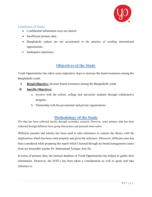

#### <span id="page-8-0"></span>Limitations of Study:

- Confidential information were not shared.
- Insufficient primary data.
- Bangladeshi culture are not accustomed to the practice of availing international opportunities.
- <span id="page-8-1"></span>• Inadequate experience.

# **Objectives of the Study**

Youth Opportunities has taken some imperative steps to increase the brand awareness among the Bangladeshi youth.

**I. Broad Objective:** Increase brand awareness among the Bangladeshi youth.

#### **II. Specific Objectives:**

- a. Involve with the school, college and university students through collaborative program.
- b. Partnership with the government and private organizations.

#### **Methodology of the Study**

<span id="page-8-2"></span>The data has been collected mostly through secondary research. However, some primary data has been collected through different focus group discussions and personal observation.

Different journals and articles has been used to take references to connect the theory with the implications which has been cited properly and given the reference. Moreover, different cases has been considered while preparing the report which I learned through my brand management course from my honorable teacher Dr. Mohammad Tareque Aziz Sir.

In terms of primary data, the internal database of Youth Opportunities has helped to gather their information. Moreover, the FGD's has been taken a consideration as well to quote and take reference to.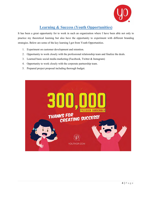

# **Learning & Success (Youth Opportunities)**

<span id="page-9-0"></span>It has been a great opportunity for to work in such an organization where I have been able not only to practice my theoretical learning but also have the opportunity to experiment with different branding strategies. Below are some of the key learning I got from Youth Opportunities.

- 1. Experiment on customer development and retention.
- 2. Opportunity to work closely with the professional relationship team and finalize the deals.
- 3. Learned basic social media marketing (Facebook, Twitter & Instagram)
- 4. Opportunity to work closely with the corporate partnership team.
- 5. Prepared project proposal including thorough budget.

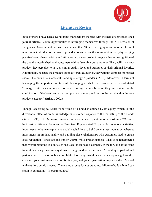

### **Literature Review**

<span id="page-10-0"></span>In this report, I have used several brand management theories with the help of some published journal articles. Youth Opportunities is leveraging themselves through the ICT Division of Bangladesh Government because they believe that "Brand leveraging is an important form of new product introduction because it provides consumers with a sense of familiarity by carrying positive brand characteristics and attitudes into a new product category. Instant recognition of the brand is established, and consumers with a favorable brand opinion likely will try a new product they perceive to have a similar quality level and attributes as their original favorite. Additionally, because the products are in different categories, they will not compete for market share – the crux of a successful branding strategy." (Giddens, 2010). Moreover, in terms of leveraging the important points while leveraging needs to be considered as Bristol stated "Emergent attributes represent potential leverage points because they are unique to the combination of the brand and extension product category and thus to the brand within the new product category." (Bristol, 2002)

Though, according to Keller "The value of a brand is defined by its equity, which is "the differential effect of brand knowledge on customer response to the marketing of the brand" (Keller, 1993, p. 2). Moreover, in order to create a new reputation to the customer YO has to be invest in different places and as Bresciani, Eppler stated "In particular, symbolic activities, investments in human capital and social capital help to build generalized reputation, whereas investments in product quality and building close relationships with customers lead to create local reputation" (Bresciani and Eppler, 2010). While preparing those, it has to be remembered that overall branding is a quite serious issue. It can take a company to the top, and at the same time, it can bring the company down to the ground with a mistake. "Branding is part art and part science. It is serious business. Make too many mistakes and you may not get another chance  $\pm$  your customers may not forgive you, and your organization may not either. Proceed with caution, but do proceed. There is no excuse for not branding; failure to build a brand can result in extinction." (Bergstrom, 2000)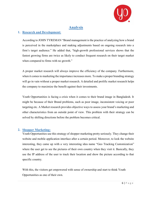

# **Analysis**

#### <span id="page-11-1"></span><span id="page-11-0"></span>**1. Research and Development:**

According to JOHN TYREMAN "Brand management is the practice of analyzing how a brand is perceived in the marketplace and making adjustments based on ongoing research into a firm's target audience." He added that, "high-growth professional services shows that the fastest growing firms are twice as likely to conduct frequent research on their target market when compared to firms with no growth."

A proper market research will always improve the efficiency of the company. Furthermore, when it comes to marketing the importance increases more. To make a proper branding strategy will go in vain without a proper market research. A detailed and prolific market research helps the company to maximize the benefit against their investments.

Youth Opportunities is facing a crisis when it comes to their brand image in Bangladesh. It might be because of their Brand problems, such as poor image, inconsistent voicing or poor targeting etc. A Market research provides objective ways to assess your brand's marketing and other characteristics from an outside point of view. This problem with their strategy can be solved by shifting directions before the problem becomes critical.

#### <span id="page-11-2"></span>**2. Shopper Marketing:**

Youth Opportunities use this strategy of shopper marketing pretty seriously. They change their website and mobile application interface after a certain period. Moreover, to look the website interesting, they came up with a very interesting idea name "Geo Tracking Customization" where the user get to see the pictures of their own country when they visit it. Basically, they use the IP address of the user to track their location and show the picture according to that specific country.

With this, the visitors get empowered with sense of ownership and start to think Youth Opportunities as one of their own.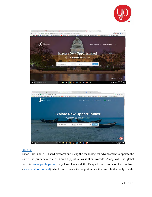



#### <span id="page-12-0"></span>**3. Media:**

Ŧ

O Type ha

Since, this is an ICT based platform and using the technological advancement to operate the show, the primary media of Youth Opportunities is their website. Along with the global website [www.youthop.com,](http://www.youthop.com/) they have launched the Bangladeshi version of their website [\(www.youthop.com/bd\)](http://www.youthop.com/bd) which only shares the opportunities that are eligible only for the

B

W

r.

 $\Box$ 

D ۰  $\overline{A}$ 

Ħ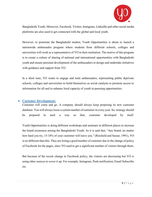

Bangladeshi Youth. Moreover, Facebook, Twitter, Instagram, LinkedIn and other social media platforms are also used to get connected with the global and local youth.

However, to penetrate the Bangladeshi market, Youth Opportunities is about to launch a nationwide ambassador program where students from different schools, colleges and universities will work as a representative of YO in their institution. The motive of this program is to create a culture of sharing of national and international opportunities with Bangladeshi youth and ensure personal development of the ambassadors to design and undertake initiatives with guidance and support from YO.

In a short note, YO wants to engage and train ambassadors, representing public &private schools, colleges and universities to build themselves as social catalysts to promote access to information for all and to enhance local capacity of youth in pursuing opportunities.

#### <span id="page-13-0"></span>**4. Customer Development:**

Customer will come and go. A company should always keep preparing its new customer database. You will always loose a certain number of customer in every year. So, strategy should be prepared in such a way so that, customer developed by itself.

Youth Opportunities is doing different workshops and seminars in different places to increase the brand awareness among the Bangladeshi Youth. As it is said that, "Any brand, no matter how hard you try, 15-18% of your customer will leave you." (Reicheld and Sassar, 1991), YO is no different than this. They are losing a good number of customer due to the change of policy of Facebook for the pages, since YO used to get a significant number of visitors through them.

But because of the recent change in Facebook policy, the visitors are decreasing but YO is using other sources to cover it up. For example, Instagram, Push notification, Email Subscribe etc.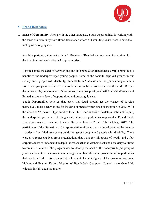

#### <span id="page-14-0"></span>**5. Brand Resonance**

a. **Sense of Community:** Along with the other strategies, Youth Opportunities is working with the sense of community from Brand Resonance where YO want to give its users to have the feeling of belongingness.

Youth Opportunity, along with the ICT Division of Bangladesh government is working for the Marginalized youth who lacks opportunities.

Despite having the asset of hardworking and able population Bangladesh is yet to reap the full benefit of the underprivileged young people. Some of the socially deprived groups in our society are – people with disability, students from Madrassa and indigenous people. Youth from these groups most often feel themselves less qualified from the rest of the world. Despite the praiseworthy development of the country, these groups of youth still lag behind because of limited awareness, lack of opportunities and proper guidance.

Youth Opportunities believes that every individual should get the chance of develop themselves. It has been working for the development of youth since its inception in 2012. With the vision of "Access to Opportunities for all for Free" and with the determination of helping the underprivileged youth of Bangladesh, Youth Opportunities organized a Round Table Discussion named "Leading towards Success Together" on 17th October, 2017. The participants of the discussion had a representation of the underprivileged youth of the country – students from Madrassa background, Indigenous people and people with disability. There were also representatives from organizations that work for this group of youth, and a few corporate faces to understand in depth the reasons that holds them back and necessary solutions towards it. The aim of the program was to identify the need of the underprivileged group of youth and also to create awareness among them about different prospects and opportunities that can benefit them for their self-development. The chief guest of the program was Engr. Mohammad Enamul Karim, Director of Bangladesh Computer Council, who shared his valuable insight upon the matter.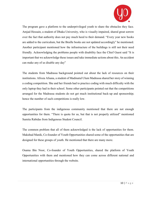

The program gave a platform to the underprivileged youth to share the obstacles they face. Amjad Hossain, a student of Dhaka University, who is visually impaired, shared great sorrow over the fact that authority does not pay much heed to their demand. "Every year new books are added to the curriculum, but the Braille books are not updated accordingly" he mentioned. Another participant mentioned how the infrastructure of the buildings is still not their need friendly. Acknowledging the problems people with disability face the Chief Guest said "It is important that we acknowledge these issues and take immediate actions about this. An accident can make any of us disable any day"

The students from Madrassa background pointed out about the lack of resources on their institutions. Afroza Afsana, a student of Madinatul Ulum Madrassa shared her story of winning a coding competition. She and her friends had to practice coding with much difficulty with the only laptop they had in their school. Some other participants pointed out that the competitions arranged for the Madrassa students do not get much institutional back-up and sponsorship; hence the number of such competitions is really low.

The participants from the indigenous community mentioned that there are not enough opportunities for them. "There is quota for us, but that is not properly utilized" mentioned Sumita Rabidas from Indigenous Student Council.

The common problem that all of them acknowledged is the lack of opportunities for them. Makshud Manik, Co-founder of Youth Opportunities shared some of the opportunities that are designed for these groups of youth. He mentioned that there are many more.

Osama Bin Noor, Co-founder of Youth Opportunities, shared the platform of Youth Opportunities with them and mentioned how they can come across different national and international opportunities through the website.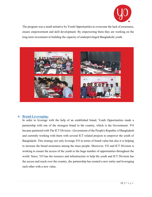

The program was a small initiative by Youth Opportunities to overcome the lack of awareness, ensure empowerment and skill development. By empowering them they are working on the long term investment in building the capacity of underprivileged Bangladeshi youth.



#### <span id="page-16-0"></span>**6. Brand Leveraging:**

In order to leverage with the help of an established brand, Youth Opportunities made a partnership with one of the strongest brand in the country, which is the Government. YO became partnered with The ICT Division - Government of the People's Republic of Bangladesh and currently working with them with several ICT related projects to empower the youth of Bangladesh. This strategy not only leverage YO in terms of brand value but also it is helping to increase the brand awareness among the mass people. Moreover, YO and ICT Division is working to ensure the access of the youth to the huge number of opportunities throughout the world. Since, YO has the resource and infrastructure to help the youth and ICT Division has the access and reach over the country, the partnership has created a new entity and leveraging each other with a new value.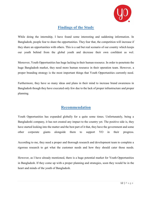

# **Findings of the Study**

<span id="page-17-0"></span>While doing the internship, I have found some interesting and saddening information. In Bangladesh, people fear to share the opportunities. They fear that, the competition will increase if they share an opportunities with others. This is a sad but real scenario of our country which keeps our youth behind from the global youth and decrease their own confident as wel.

Moreover, Youth Opportunities has huge lacking in their human resource. In order to penetrate the huge Bangladesh market, they need more human resource in their operation team. However, a proper branding strategy is the most important things that Youth Opportunities currently need.

Furthermore, they have so many ideas and plans in their mind to increase brand awareness in Bangladesh though they have executed only few due to the lack of proper infrastructure and proper planning.

#### **Recommendation**

<span id="page-17-1"></span>Youth Opportunities has expanded globally for a quite some times. Unfortunately, being a Bangladeshi company, it has not created any impact to the country yet. The positive side is, they have started looking into the matter and the best part of it that, they have the government and some other corporate giants alongside them to support YO in their progress.

According to me, they need a proper and thorough research and development team to complete a rigorous research to get what the customer needs and how they should cater those needs.

However, as I have already mentioned, there is a huge potential market for Youth Opportunities in Bangladesh. If they come up with a proper planning and strategies, soon they would be in the heart and minds of the youth of Bangladesh.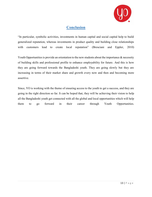

# **Conclusion**

<span id="page-18-0"></span>"In particular, symbolic activities, investments in human capital and social capital help to build generalized reputation, whereas investments in product quality and building close relationships with customers lead to create local reputation" (Bresciani and Eppler, 2010)

Youth Opportunities is provide an orientation to the new students about the importance  $\&$  necessity of building skills and professional profile to enhance employability for future. And this is how they are going forward towards the Bangladeshi youth. They are going slowly but they are increasing in terms of their market share and growth every now and then and becoming more assertive.

Since, YO is working with the theme of ensuring access to the youth to get a success, and they are going in the right direction so far. It can be hoped that, they will be achieving their vision to help all the Bangladeshi youth get connected with all the global and local opportunities which will help them to go forward in their career through Youth Opportunities.